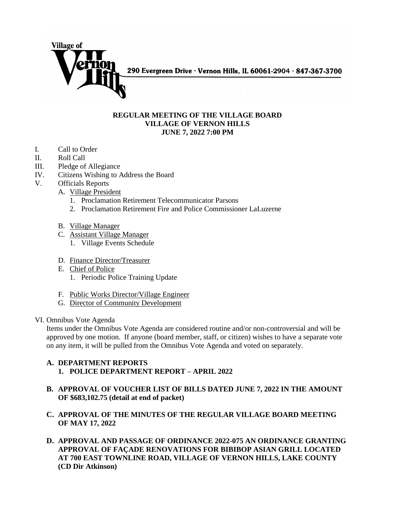

290 Evergreen Drive · Vernon Hills, IL 60061-2904 · 847-367-3700

## **REGULAR MEETING OF THE VILLAGE BOARD VILLAGE OF VERNON HILLS JUNE 7, 2022 7:00 PM**

- I. Call to Order
- II. Roll Call
- III. Pledge of Allegiance
- IV. Citizens Wishing to Address the Board
- V. Officials Reports
	- A. Village President
		- 1. Proclamation Retirement Telecommunicator Parsons
		- 2. Proclamation Retirement Fire and Police Commissioner LaLuzerne
	- B. Village Manager
	- C. Assistant Village Manager
		- 1. Village Events Schedule
	- D. Finance Director/Treasurer
	- E. Chief of Police
		- 1. Periodic Police Training Update
	- F. Public Works Director/Village Engineer
	- G. Director of Community Development

## VI. Omnibus Vote Agenda

Items under the Omnibus Vote Agenda are considered routine and/or non-controversial and will be approved by one motion. If anyone (board member, staff, or citizen) wishes to have a separate vote on any item, it will be pulled from the Omnibus Vote Agenda and voted on separately.

## **A. DEPARTMENT REPORTS 1. POLICE DEPARTMENT REPORT – APRIL 2022**

- **B. APPROVAL OF VOUCHER LIST OF BILLS DATED JUNE 7, 2022 IN THE AMOUNT OF \$683,102.75 (detail at end of packet)**
- **C. APPROVAL OF THE MINUTES OF THE REGULAR VILLAGE BOARD MEETING OF MAY 17, 2022**
- **D. APPROVAL AND PASSAGE OF ORDINANCE 2022-075 AN ORDINANCE GRANTING APPROVAL OF FAÇADE RENOVATIONS FOR BIBIBOP ASIAN GRILL LOCATED AT 700 EAST TOWNLINE ROAD, VILLAGE OF VERNON HILLS, LAKE COUNTY (CD Dir Atkinson)**